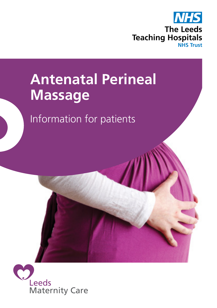

# **Antenatal Perineal Massage**

Information for patients

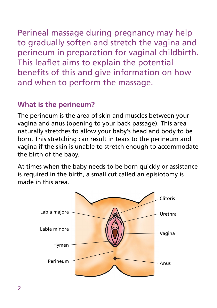Perineal massage during pregnancy may help to gradually soften and stretch the vagina and perineum in preparation for vaginal childbirth. This leaflet aims to explain the potential benefits of this and give information on how and when to perform the massage.

## **What is the perineum?**

The perineum is the area of skin and muscles between your vagina and anus (opening to your back passage). This area naturally stretches to allow your baby's head and body to be born. This stretching can result in tears to the perineum and vagina if the skin is unable to stretch enough to accommodate the birth of the baby.

At times when the baby needs to be born quickly or assistance is required in the birth, a small cut called an episiotomy is made in this area.

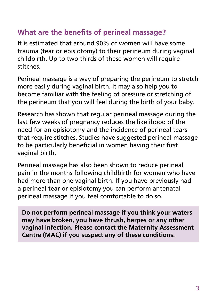## **What are the benefits of perineal massage?**

It is estimated that around 90% of women will have some trauma (tear or episiotomy) to their perineum during vaginal childbirth. Up to two thirds of these women will require stitches.

Perineal massage is a way of preparing the perineum to stretch more easily during vaginal birth. It may also help you to become familiar with the feeling of pressure or stretching of the perineum that you will feel during the birth of your baby.

Research has shown that regular perineal massage during the last few weeks of pregnancy reduces the likelihood of the need for an episiotomy and the incidence of perineal tears that require stitches. Studies have suggested perineal massage to be particularly beneficial in women having their first vaginal birth.

Perineal massage has also been shown to reduce perineal pain in the months following childbirth for women who have had more than one vaginal birth. If you have previously had a perineal tear or episiotomy you can perform antenatal perineal massage if you feel comfortable to do so.

**Do not perform perineal massage if you think your waters may have broken, you have thrush, herpes or any other vaginal infection. Please contact the Maternity Assessment Centre (MAC) if you suspect any of these conditions.**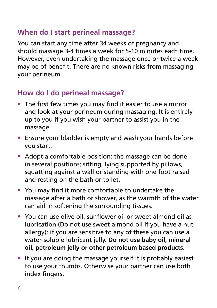## **When do I start perineal massage?**

You can start any time after 34 weeks of pregnancy and should massage 3-4 times a week for 5-10 minutes each time. However, even undertaking the massage once or twice a week may be of benefit. There are no known risks from massaging your perineum.

### **How do I do perineal massage?**

- The first few times you may find it easier to use a mirror and look at your perineum during massaging. It is entirely up to you if you wish your partner to assist you in the massage.
- Ensure your bladder is empty and wash your hands before you start.
- Adopt a comfortable position: the massage can be done in several positions; sitting, lying supported by pillows, squatting against a wall or standing with one foot raised and resting on the bath or toilet.
- You may find it more comfortable to undertake the massage after a bath or shower, as the warmth of the water can aid in softening the surrounding tissues.
- You can use olive oil, sunflower oil or sweet almond oil as lubrication (Do not use sweet almond oil if you have a nut allergy); if you are sensitive to any of these you can use a water-soluble lubricant jelly. **Do not use baby oil, mineral oil, petroleum jelly or other petroleum based products.**
- If you are doing the massage yourself it is probably easiest to use your thumbs. Otherwise your partner can use both index fingers.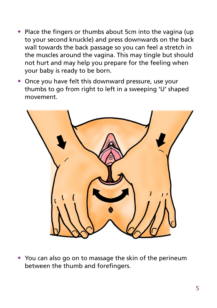- Place the fingers or thumbs about 5cm into the vagina (up to your second knuckle) and press downwards on the back wall towards the back passage so you can feel a stretch in the muscles around the vagina. This may tingle but should not hurt and may help you prepare for the feeling when your baby is ready to be born.
- Once you have felt this downward pressure, use your thumbs to go from right to left in a sweeping 'U' shaped movement.



• You can also go on to massage the skin of the perineum between the thumb and forefingers.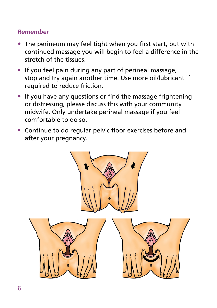#### *Remember*

- The perineum may feel tight when you first start, but with continued massage you will begin to feel a difference in the stretch of the tissues.
- If you feel pain during any part of perineal massage, stop and try again another time. Use more oil/lubricant if required to reduce friction.
- If you have any questions or find the massage frightening or distressing, please discuss this with your community midwife. Only undertake perineal massage if you feel comfortable to do so.
- Continue to do regular pelvic floor exercises before and after your pregnancy.

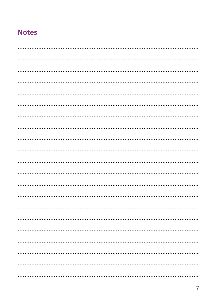## **Notes**